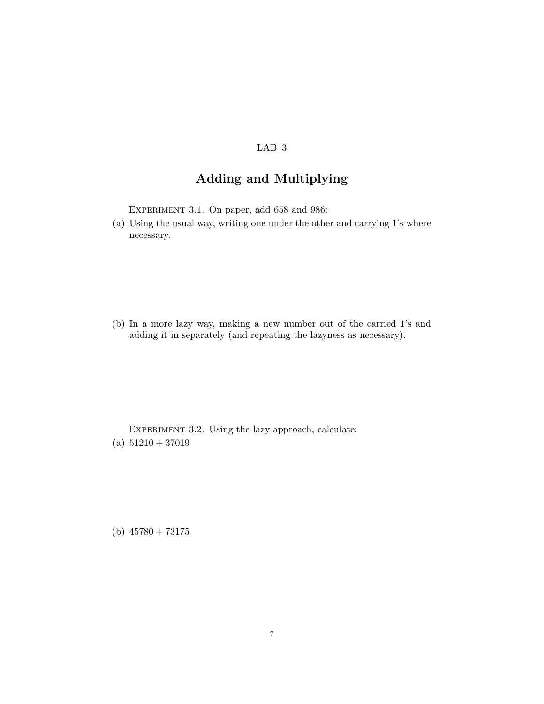## LAB 3

## Adding and Multiplying

EXPERIMENT 3.1. On paper, add 658 and 986:

(a) Using the usual way, writing one under the other and carrying 1's where necessary.

(b) In a more lazy way, making a new number out of the carried 1's and adding it in separately (and repeating the lazyness as necessary).

EXPERIMENT 3.2. Using the lazy approach, calculate: (a)  $51210 + 37019$ 

(b)  $45780 + 73175$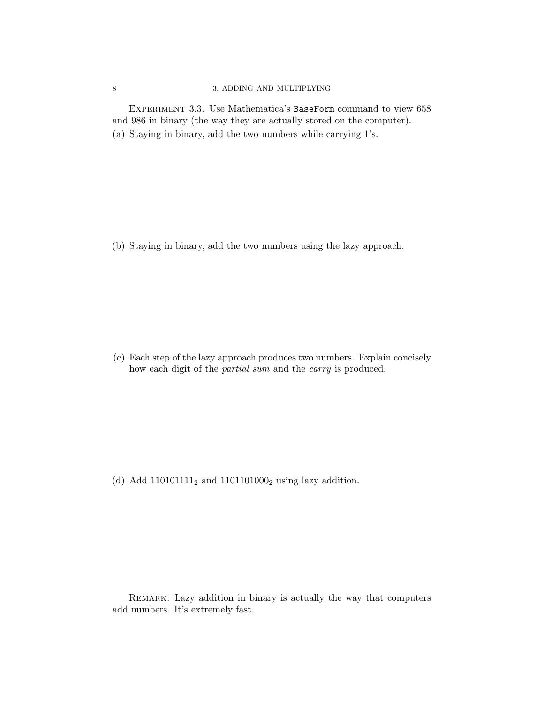## 8 3. ADDING AND MULTIPLYING

EXPERIMENT 3.3. Use Mathematica's BaseForm command to view 658 and 986 in binary (the way they are actually stored on the computer). (a) Staying in binary, add the two numbers while carrying 1's.

(b) Staying in binary, add the two numbers using the lazy approach.

(c) Each step of the lazy approach produces two numbers. Explain concisely how each digit of the *partial sum* and the *carry* is produced.

(d) Add  $110101111_2$  and  $1101101000_2$  using lazy addition.

Remark. Lazy addition in binary is actually the way that computers add numbers. It's extremely fast.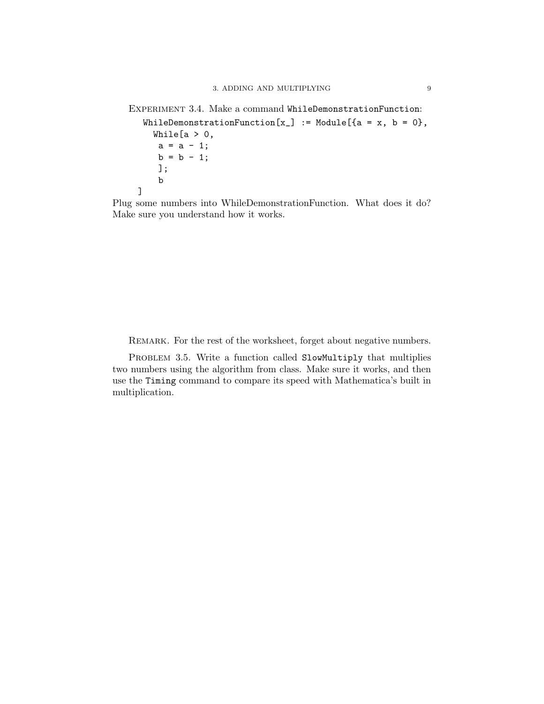```
EXPERIMENT 3.4. Make a command WhileDemonstrationFunction:
 WhileDemonstrationFunction[x_ := Module[{a = x, b = 0},
   While [a > 0,a = a - 1;b = b - 1;];
    b
]
```
Plug some numbers into WhileDemonstrationFunction. What does it do? Make sure you understand how it works.

REMARK. For the rest of the worksheet, forget about negative numbers.

PROBLEM 3.5. Write a function called SlowMultiply that multiplies two numbers using the algorithm from class. Make sure it works, and then use the Timing command to compare its speed with Mathematica's built in multiplication.